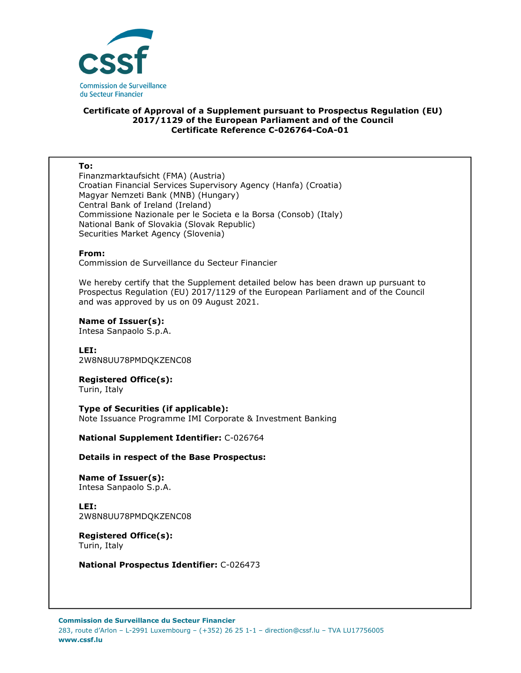

# **Certificate of Approval of a Supplement pursuant to Prospectus Regulation (EU) 2017/1129 of the European Parliament and of the Council Certificate Reference C-026764-CoA-01**

#### **To:**

Finanzmarktaufsicht (FMA) (Austria) Croatian Financial Services Supervisory Agency (Hanfa) (Croatia) Magyar Nemzeti Bank (MNB) (Hungary) Central Bank of Ireland (Ireland) Commissione Nazionale per le Societa e la Borsa (Consob) (Italy) National Bank of Slovakia (Slovak Republic) Securities Market Agency (Slovenia)

#### **From:**

Commission de Surveillance du Secteur Financier

We hereby certify that the Supplement detailed below has been drawn up pursuant to Prospectus Regulation (EU) 2017/1129 of the European Parliament and of the Council and was approved by us on 09 August 2021.

#### **Name of Issuer(s):**

Intesa Sanpaolo S.p.A.

**LEI:** 2W8N8UU78PMDQKZENC08

**Registered Office(s):**  Turin, Italy

**Type of Securities (if applicable):**  Note Issuance Programme IMI Corporate & Investment Banking

**National Supplement Identifier:** C-026764

### **Details in respect of the Base Prospectus:**

**Name of Issuer(s):**  Intesa Sanpaolo S.p.A.

**LEI:**

2W8N8UU78PMDQKZENC08

**Registered Office(s):**  Turin, Italy

**National Prospectus Identifier:** C-026473